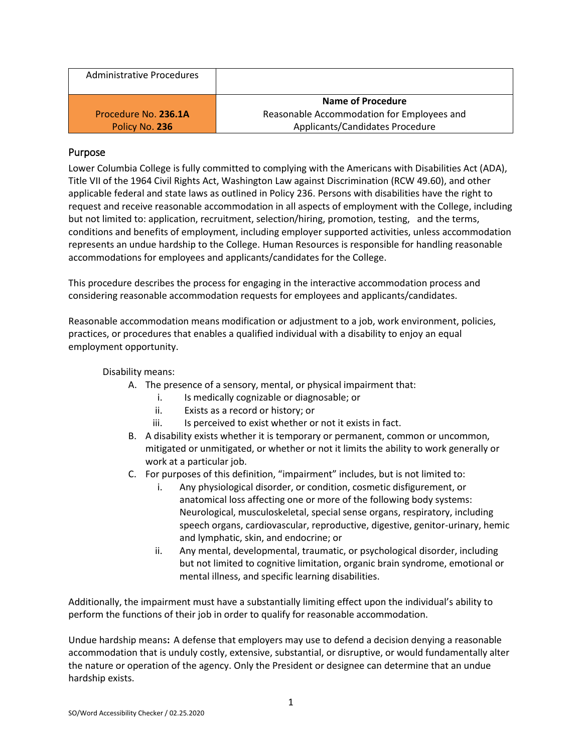| <b>Administrative Procedures</b> |                                            |
|----------------------------------|--------------------------------------------|
|                                  | Name of Procedure                          |
| Procedure No. 236.1A             | Reasonable Accommodation for Employees and |
| Policy No. 236                   | Applicants/Candidates Procedure            |

# Purpose

Lower Columbia College is fully committed to complying with the Americans with Disabilities Act (ADA), Title VII of the 1964 Civil Rights Act, Washington Law against Discrimination (RCW 49.60), and other applicable federal and state laws as outlined in Policy 236. Persons with disabilities have the right to request and receive reasonable accommodation in all aspects of employment with the College, including but not limited to: application, recruitment, selection/hiring, promotion, testing, and the terms, conditions and benefits of employment, including employer supported activities, unless accommodation represents an undue hardship to the College. Human Resources is responsible for handling reasonable accommodations for employees and applicants/candidates for the College.

This procedure describes the process for engaging in the interactive accommodation process and considering reasonable accommodation requests for employees and applicants/candidates.

Reasonable accommodation means modification or adjustment to a job, work environment, policies, practices, or procedures that enables a qualified individual with a disability to enjoy an equal employment opportunity.

# Disability means:

- A. The presence of a sensory, mental, or physical impairment that:
	- i. Is medically cognizable or diagnosable; or
	- ii. Exists as a record or history; or
	- iii. Is perceived to exist whether or not it exists in fact.
- B. A disability exists whether it is temporary or permanent, common or uncommon, mitigated or unmitigated, or whether or not it limits the ability to work generally or work at a particular job.
- C. For purposes of this definition, "impairment" includes, but is not limited to:
	- i. Any physiological disorder, or condition, cosmetic disfigurement, or anatomical loss affecting one or more of the following body systems: Neurological, musculoskeletal, special sense organs, respiratory, including speech organs, cardiovascular, reproductive, digestive, genitor-urinary, hemic and lymphatic, skin, and endocrine; or
	- ii. Any mental, developmental, traumatic, or psychological disorder, including but not limited to cognitive limitation, organic brain syndrome, emotional or mental illness, and specific learning disabilities.

Additionally, the impairment must have a substantially limiting effect upon the individual's ability to perform the functions of their job in order to qualify for reasonable accommodation.

Undue hardship means**:**A defense that employers may use to defend a decision denying a reasonable accommodation that is unduly costly, extensive, substantial, or disruptive, or would fundamentally alter the nature or operation of the agency. Only the President or designee can determine that an undue hardship exists.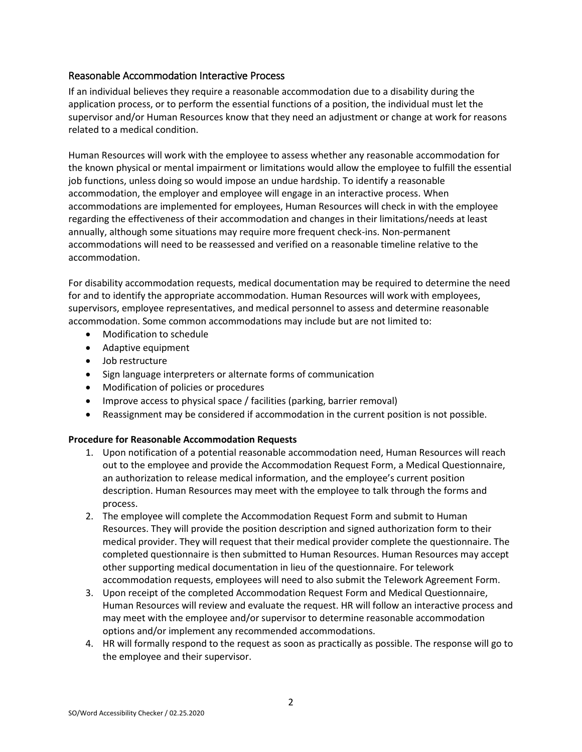# Reasonable Accommodation Interactive Process

If an individual believes they require a reasonable accommodation due to a disability during the application process, or to perform the essential functions of a position, the individual must let the supervisor and/or Human Resources know that they need an adjustment or change at work for reasons related to a medical condition.

Human Resources will work with the employee to assess whether any reasonable accommodation for the known physical or mental impairment or limitations would allow the employee to fulfill the essential job functions, unless doing so would impose an undue hardship. To identify a reasonable accommodation, the employer and employee will engage in an interactive process. When accommodations are implemented for employees, Human Resources will check in with the employee regarding the effectiveness of their accommodation and changes in their limitations/needs at least annually, although some situations may require more frequent check-ins. Non-permanent accommodations will need to be reassessed and verified on a reasonable timeline relative to the accommodation.

For disability accommodation requests, medical documentation may be required to determine the need for and to identify the appropriate accommodation. Human Resources will work with employees, supervisors, employee representatives, and medical personnel to assess and determine reasonable accommodation. Some common accommodations may include but are not limited to:

- Modification to schedule
- Adaptive equipment
- Job restructure
- Sign language interpreters or alternate forms of communication
- Modification of policies or procedures
- Improve access to physical space / facilities (parking, barrier removal)
- Reassignment may be considered if accommodation in the current position is not possible.

# **Procedure for Reasonable Accommodation Requests**

- 1. Upon notification of a potential reasonable accommodation need, Human Resources will reach out to the employee and provide the Accommodation Request Form, a Medical Questionnaire, an authorization to release medical information, and the employee's current position description. Human Resources may meet with the employee to talk through the forms and process.
- 2. The employee will complete the Accommodation Request Form and submit to Human Resources. They will provide the position description and signed authorization form to their medical provider. They will request that their medical provider complete the questionnaire. The completed questionnaire is then submitted to Human Resources. Human Resources may accept other supporting medical documentation in lieu of the questionnaire. For telework accommodation requests, employees will need to also submit the Telework Agreement Form.
- 3. Upon receipt of the completed Accommodation Request Form and Medical Questionnaire, Human Resources will review and evaluate the request. HR will follow an interactive process and may meet with the employee and/or supervisor to determine reasonable accommodation options and/or implement any recommended accommodations.
- 4. HR will formally respond to the request as soon as practically as possible. The response will go to the employee and their supervisor.